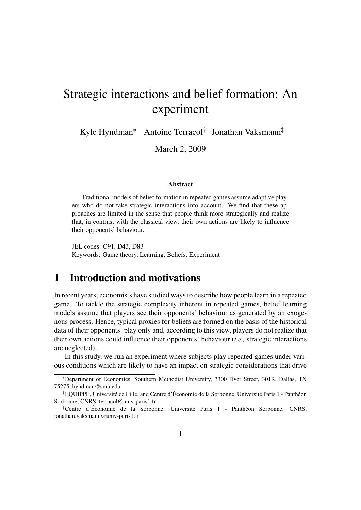# Strategic interactions and belief formation: An experiment

Kyle Hyndman<sup>∗</sup> Antoine Terracol† Jonathan Vaksmann‡

March 2, 2009

#### Abstract

Traditional models of belief formation in repeated games assume adaptive players who do not take strategic interactions into account. We find that these approaches are limited in the sense that people think more strategically and realize that, in contrast with the classical view, their own actions are likely to influence their opponents' behaviour.

JEL codes: C91, D43, D83 Keywords: Game theory, Learning, Beliefs, Experiment

#### 1 Introduction and motivations

In recent years, economists have studied ways to describe how people learn in a repeated game. To tackle the strategic complexity inherent in repeated games, belief learning models assume that players see their opponents' behaviour as generated by an exogenous process. Hence, typical proxies for beliefs are formed on the basis of the historical data of their opponents' play only and, according to this view, players do not realize that their own actions could influence their opponents' behaviour (*i.e.,* strategic interactions are neglected).

In this study, we run an experiment where subjects play repeated games under various conditions which are likely to have an impact on strategic considerations that drive

<sup>∗</sup>Department of Economics, Southern Methodist University, 3300 Dyer Street, 301R, Dallas, TX 75275, hyndman@smu.edu

<sup>†</sup>EQUIPPE, Université de Lille, and Centre d'Économie de la Sorbonne, Université Paris 1 - Panthéon Sorbonne, CNRS, terracol@univ-paris1.fr

<sup>‡</sup>Centre d'Économie de la Sorbonne, Université Paris 1 - Panthéon Sorbonne, CNRS, jonathan.vaksmann@univ-paris1.fr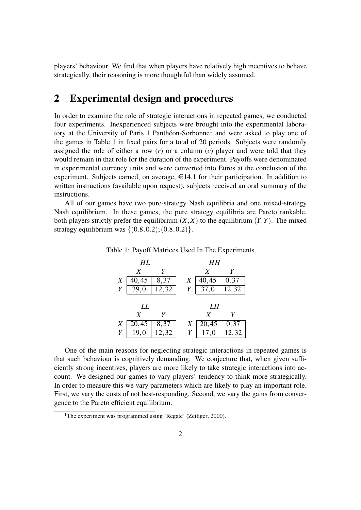players' behaviour. We find that when players have relatively high incentives to behave strategically, their reasoning is more thoughtful than widely assumed.

### 2 Experimental design and procedures

In order to examine the role of strategic interactions in repeated games, we conducted four experiments. Inexperienced subjects were brought into the experimental labora-tory at the University of Paris [1](#page-1-0) Panthéon-Sorbonne<sup>1</sup> and were asked to play one of the games in Table [1](#page-1-1) in fixed pairs for a total of 20 periods. Subjects were randomly assigned the role of either a row (*r*) or a column (*c*) player and were told that they would remain in that role for the duration of the experiment. Payoffs were denominated in experimental currency units and were converted into Euros at the conclusion of the experiment. Subjects earned, on average,  $\in$ 14.1 for their participation. In addition to written instructions (available upon request), subjects received an oral summary of the instructions.

All of our games have two pure-strategy Nash equilibria and one mixed-strategy Nash equilibrium. In these games, the pure strategy equilibria are Pareto rankable, both players strictly prefer the equilibrium  $(X,X)$  to the equilibrium  $(Y,Y)$ . The mixed strategy equilibrium was  $\{(0.8, 0.2); (0.8, 0.2)\}.$ 

Table 1: Payoff Matrices Used In The Experiments

<span id="page-1-1"></span>

|   | HL           |        |   | HН    |               |  |  |  |
|---|--------------|--------|---|-------|---------------|--|--|--|
|   | X            | Y      |   | X     | Y             |  |  |  |
| X | 40,45        | 8,37   | X | 40,45 | $0, 3\bar{7}$ |  |  |  |
| Y | $\bar{3}9,0$ | 12, 32 | Y | 37,0  | 12,32         |  |  |  |
|   |              |        |   |       |               |  |  |  |
|   | LL           |        |   | LH    |               |  |  |  |
|   | X            | Y      |   | X     | Y             |  |  |  |
|   |              |        |   |       |               |  |  |  |
| X | 20,45        | 8,37   | X | 20,45 | 0,37          |  |  |  |

One of the main reasons for neglecting strategic interactions in repeated games is that such behaviour is cognitively demanding. We conjecture that, when given sufficiently strong incentives, players are more likely to take strategic interactions into account. We designed our games to vary players' tendency to think more strategically. In order to measure this we vary parameters which are likely to play an important role. First, we vary the costs of not best-responding. Second, we vary the gains from convergence to the Pareto efficient equilibrium.

<span id="page-1-0"></span><sup>&</sup>lt;sup>1</sup>The experiment was programmed using 'Regate' [\(Zeiliger,](#page-6-0) [2000\)](#page-6-0).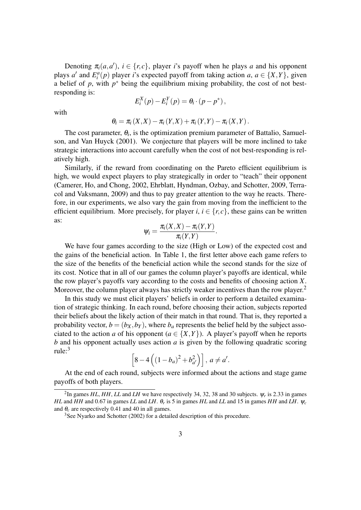Denoting  $\pi_i(a, a')$ ,  $i \in \{r, c\}$ , player *i*'s payoff when he plays *a* and his opponent plays *a'* and  $E_i^a(p)$  player *i*'s expected payoff from taking action *a*,  $a \in \{X, Y\}$ , given a belief of  $p$ , with  $p^*$  being the equilibrium mixing probability, the cost of not bestresponding is:

$$
E_i^X(p) - E_i^Y(p) = \theta_i \cdot (p - p^*),
$$

with

$$
\theta_i = \pi_i(X, X) - \pi_i(Y, X) + \pi_i(Y, Y) - \pi_i(X, Y).
$$

The cost parameter,  $\theta_i$ , is the optimization premium parameter of [Battalio, Samuel](#page-6-1)[son, and Van Huyck](#page-6-1) [\(2001\)](#page-6-1). We conjecture that players will be more inclined to take strategic interactions into account carefully when the cost of not best-responding is relatively high.

Similarly, if the reward from coordinating on the Pareto efficient equilibrium is high, we would expect players to play strategically in order to "teach" their opponent [\(Camerer, Ho, and Chong,](#page-6-2) [2002,](#page-6-2) [Ehrblatt, Hyndman, Ozbay, and Schotter,](#page-6-3) [2009,](#page-6-3) [Terra](#page-6-4)[col and Vaksmann,](#page-6-4) [2009\)](#page-6-4) and thus to pay greater attention to the way he reacts. Therefore, in our experiments, we also vary the gain from moving from the inefficient to the efficient equilibrium. More precisely, for player *i*,  $i \in \{r, c\}$ , these gains can be written as:

$$
\psi_i = \frac{\pi_i(X,X) - \pi_i(Y,Y)}{\pi_i(Y,Y)}.
$$

We have four games according to the size (High or Low) of the expected cost and the gains of the beneficial action. In Table [1,](#page-1-1) the first letter above each game refers to the size of the benefits of the beneficial action while the second stands for the size of its cost. Notice that in all of our games the column player's payoffs are identical, while the row player's payoffs vary according to the costs and benefits of choosing action *X*. Moreover, the column player always has strictly weaker incentives than the row player.<sup>[2](#page-2-0)</sup>

In this study we must elicit players' beliefs in order to perform a detailed examination of strategic thinking. In each round, before choosing their action, subjects reported their beliefs about the likely action of their match in that round. That is, they reported a probability vector,  $b = (b_X, b_Y)$ , where  $b_a$  represents the belief held by the subject associated to the action *a* of his opponent ( $a \in \{X, Y\}$ ). A player's payoff when he reports *b* and his opponent actually uses action *a* is given by the following quadratic scoring rule:[3](#page-2-1)

$$
\[8-4\left((1-b_a)^2+b_{a'}^2\right)\],\ a \neq a'.
$$

At the end of each round, subjects were informed about the actions and stage game payoffs of both players.

<span id="page-2-0"></span><sup>&</sup>lt;sup>2</sup>In games *HL*, *HH*, *LL* and *LH* we have respectively 34, 32, 38 and 30 subjects.  $\psi_r$  is 2.33 in games *HL* and *HH* and 0.67 in games *LL* and *LH*. θ*<sup>r</sup>* is 5 in games *HL* and *LL* and 15 in games *HH* and *LH*. ψ*<sup>c</sup>* and  $\theta_c$  are respectively 0.41 and 40 in all games.

<span id="page-2-1"></span><sup>&</sup>lt;sup>3</sup>See [Nyarko and Schotter](#page-6-5) [\(2002\)](#page-6-5) for a detailed description of this procedure.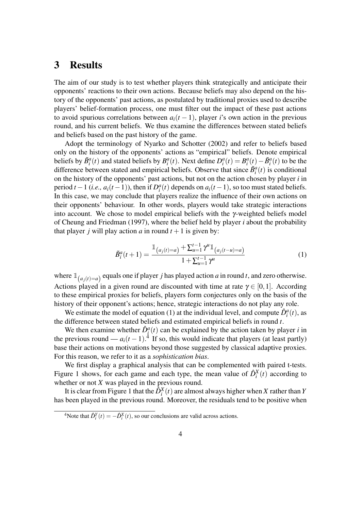#### 3 Results

The aim of our study is to test whether players think strategically and anticipate their opponents' reactions to their own actions. Because beliefs may also depend on the history of the opponents' past actions, as postulated by traditional proxies used to describe players' belief-formation process, one must filter out the impact of these past actions to avoid spurious correlations between  $a_i(t-1)$ , player *i*'s own action in the previous round, and his current beliefs. We thus examine the differences between stated beliefs and beliefs based on the past history of the game.

Adopt the terminology of [Nyarko and Schotter](#page-6-5) [\(2002\)](#page-6-5) and refer to beliefs based only on the history of the opponents' actions as "empirical" beliefs. Denote empirical beliefs by  $\tilde{B}_i^a(t)$  and stated beliefs by  $B_i^a(t)$ . Next define  $D_i^a(t) = B_i^a(t) - \tilde{B}_i^a(t)$  to be the difference between stated and empirical beliefs. Observe that since  $\tilde{B}^a_i(t)$  is conditional on the history of the opponents' past actions, but not on the action chosen by player *i* in period *t* − 1 (*i.e., a*<sub>*i*</sub>(*t* − 1)), then if  $D_i^a(t)$  depends on  $a_i(t-1)$ , so too must stated beliefs. In this case, we may conclude that players realize the influence of their own actions on their opponents' behaviour. In other words, players would take strategic interactions into account. We chose to model empirical beliefs with the  $\gamma$ -weighted beliefs model of [Cheung and Friedman](#page-6-6) [\(1997\)](#page-6-6), where the belief held by player *i* about the probability that player *j* will play action *a* in round  $t + 1$  is given by:

<span id="page-3-0"></span>
$$
\tilde{B}_i^a(t+1) = \frac{\mathbb{1}_{(a_j(t)=a)} + \sum_{u=1}^{t-1} \gamma^u \mathbb{1}_{(a_j(t-u)=a)}}{1 + \sum_{u=1}^{t-1} \gamma^u}
$$
(1)

where  $\mathbb{1}_{(a_j(t)=a)}$  equals one if player *j* has played action *a* in round *t*, and zero otherwise. Actions played in a given round are discounted with time at rate  $\gamma \in [0,1]$ . According to these empirical proxies for beliefs, players form conjectures only on the basis of the history of their opponent's actions; hence, strategic interactions do not play any role.

We estimate the model of equation [\(1\)](#page-3-0) at the individual level, and compute  $\hat{D}_i^a(t)$ , as the difference between stated beliefs and estimated empirical beliefs in round *t*.

We then examine whether  $\hat{D}_i^a(t)$  can be explained by the action taken by player *i* in the previous round —  $a_i(t-1)$ .<sup>[4](#page-3-1)</sup> If so, this would indicate that players (at least partly) base their actions on motivations beyond those suggested by classical adaptive proxies. For this reason, we refer to it as a *sophistication bias*.

We first display a graphical analysis that can be complemented with paired t-tests. Figure [1](#page-4-0) shows, for each game and each type, the mean value of  $\hat{D}_i^X(t)$  according to whether or not *X* was played in the previous round.

It is clear from Figure [1](#page-4-0) that the  $\hat{D}_i^X(t)$  are almost always higher when *X* rather than *Y* has been played in the previous round. Moreover, the residuals tend to be positive when

<span id="page-3-1"></span><sup>&</sup>lt;sup>4</sup>Note that  $\hat{D}_i^Y(t) = -\hat{D}_i^X(t)$ , so our conclusions are valid across actions.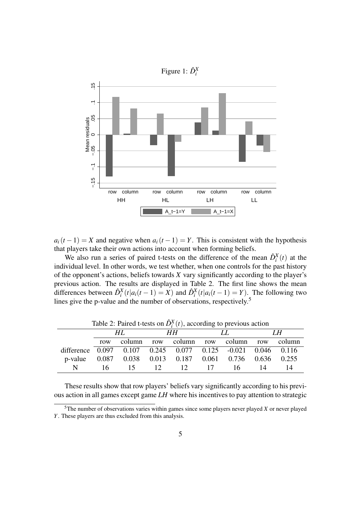<span id="page-4-0"></span>

 $a_i(t-1) = X$  and negative when  $a_i(t-1) = Y$ . This is consistent with the hypothesis that players take their own actions into account when forming beliefs.

We also run a series of paired t-tests on the difference of the mean  $\hat{D}_i^X(t)$  at the individual level. In other words, we test whether, when one controls for the past history of the opponent's actions, beliefs towards *X* vary significantly according to the player's previous action. The results are displayed in Table [2.](#page-4-1) The first line shows the mean differences between  $\hat{D}_i^X(t|a_i(t-1)) = X$  and  $\hat{D}_i^X(t|a_i(t-1)) = Y$ . The following two lines give the p-value and the number of observations, respectively.<sup>[5](#page-4-2)</sup>

|                                                             |      | Table 2: Paired t-tests on $D_i^+(t)$ , according to previous action |      |                           |    |    |    |                 |
|-------------------------------------------------------------|------|----------------------------------------------------------------------|------|---------------------------|----|----|----|-----------------|
|                                                             | HL.  |                                                                      | HH . |                           | LL |    | LН |                 |
|                                                             | row  | column                                                               |      | row column row column row |    |    |    | column          |
| difference 0.097 0.107 0.245 0.077 0.125 -0.021 0.046 0.116 |      |                                                                      |      |                           |    |    |    |                 |
| p-value                                                     |      | $0.087$ $0.038$ $0.013$ $0.187$ $0.061$ $0.736$                      |      |                           |    |    |    | $0.636$ $0.255$ |
| N                                                           | 16 - | 15                                                                   |      | $12 \t 12$                | 17 | 16 | 14 | 14              |

<span id="page-4-1"></span>Table 2: Paired t-tests on  $\hat{D}_i^X$ (*t*), according to previous action

These results show that row players' beliefs vary significantly according to his previous action in all games except game *LH* where his incentives to pay attention to strategic

<span id="page-4-2"></span> $5$ The number of observations varies within games since some players never played *X* or never played *Y*. These players are thus excluded from this analysis.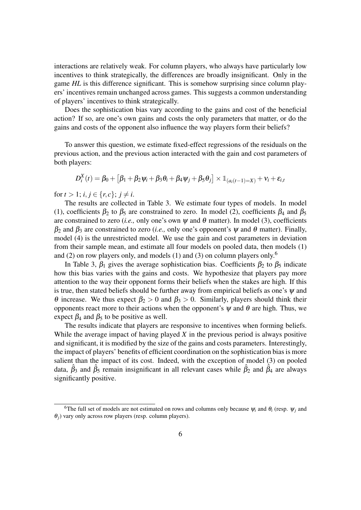interactions are relatively weak. For column players, who always have particularly low incentives to think strategically, the differences are broadly insignificant. Only in the game *HL* is this difference significant. This is somehow surprising since column players' incentives remain unchanged across games. This suggests a common understanding of players' incentives to think strategically.

Does the sophistication bias vary according to the gains and cost of the beneficial action? If so, are one's own gains and costs the only parameters that matter, or do the gains and costs of the opponent also influence the way players form their beliefs?

To answer this question, we estimate fixed-effect regressions of the residuals on the previous action, and the previous action interacted with the gain and cost parameters of both players:

$$
D_i^X(t) = \beta_0 + \left[\beta_1 + \beta_2 \psi_i + \beta_3 \theta_i + \beta_4 \psi_j + \beta_5 \theta_j\right] \times \mathbb{1}_{(a_i(t-1) = X)} + \mathbf{v}_i + \mathbf{\varepsilon}_{i,t}
$$

for  $t > 1$ ;  $i, j \in \{r, c\}$ ;  $j \neq i$ .

The results are collected in Table [3.](#page-7-0) We estimate four types of models. In model (1), coefficients  $\beta_2$  to  $\beta_5$  are constrained to zero. In model (2), coefficients  $\beta_4$  and  $\beta_5$ are constrained to zero (*i.e.*, only one's own  $\psi$  and  $\theta$  matter). In model (3), coefficients  $β_2$  and  $β_3$  are constrained to zero (*i.e.*, only one's opponent's  $ψ$  and  $θ$  matter). Finally, model (4) is the unrestricted model. We use the gain and cost parameters in deviation from their sample mean, and estimate all four models on pooled data, then models (1) and (2) on row players only, and models (1) and (3) on column players only.<sup>[6](#page-5-0)</sup>

In Table [3,](#page-7-0)  $\beta_1$  gives the average sophistication bias. Coefficients  $\beta_2$  to  $\beta_5$  indicate how this bias varies with the gains and costs. We hypothesize that players pay more attention to the way their opponent forms their beliefs when the stakes are high. If this is true, then stated beliefs should be further away from empirical beliefs as one's  $\psi$  and θ increase. We thus expect  $β_2 > 0$  and  $β_3 > 0$ . Similarly, players should think their opponents react more to their actions when the opponent's  $\psi$  and  $\theta$  are high. Thus, we expect  $\beta_4$  and  $\beta_5$  to be positive as well.

The results indicate that players are responsive to incentives when forming beliefs. While the average impact of having played *X* in the previous period is always positive and significant, it is modified by the size of the gains and costs parameters. Interestingly, the impact of players' benefits of efficient coordination on the sophistication bias is more salient than the impact of its cost. Indeed, with the exception of model (3) on pooled data,  $\hat{\beta}_3$  and  $\hat{\beta}_5$  remain insignificant in all relevant cases while  $\hat{\beta}_2$  and  $\hat{\beta}_4$  are always significantly positive.

<span id="page-5-0"></span><sup>&</sup>lt;sup>6</sup>The full set of models are not estimated on rows and columns only because  $\psi_i$  and  $\theta_i$  (resp.  $\psi_j$  and  $\theta$ <sup>*j*</sup>) vary only across row players (resp. column players).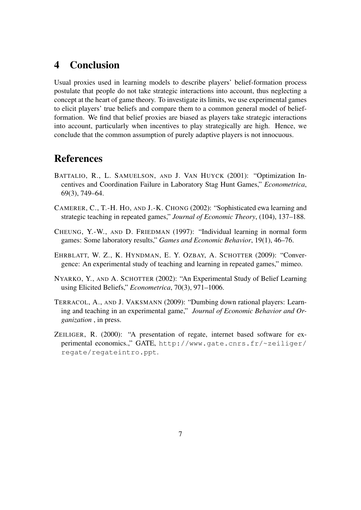## 4 Conclusion

Usual proxies used in learning models to describe players' belief-formation process postulate that people do not take strategic interactions into account, thus neglecting a concept at the heart of game theory. To investigate its limits, we use experimental games to elicit players' true beliefs and compare them to a common general model of beliefformation. We find that belief proxies are biased as players take strategic interactions into account, particularly when incentives to play strategically are high. Hence, we conclude that the common assumption of purely adaptive players is not innocuous.

# References

- <span id="page-6-1"></span>BATTALIO, R., L. SAMUELSON, AND J. VAN HUYCK (2001): "Optimization Incentives and Coordination Failure in Laboratory Stag Hunt Games," *Econometrica*, 69(3), 749–64.
- <span id="page-6-2"></span>CAMERER, C., T.-H. HO, AND J.-K. CHONG (2002): "Sophisticated ewa learning and strategic teaching in repeated games," *Journal of Economic Theory*, (104), 137–188.
- <span id="page-6-6"></span>CHEUNG, Y.-W., AND D. FRIEDMAN (1997): "Individual learning in normal form games: Some laboratory results," *Games and Economic Behavior*, 19(1), 46–76.
- <span id="page-6-3"></span>EHRBLATT, W. Z., K. HYNDMAN, E. Y. OZBAY, A. SCHOTTER (2009): "Convergence: An experimental study of teaching and learning in repeated games," mimeo.
- <span id="page-6-5"></span>NYARKO, Y., AND A. SCHOTTER (2002): "An Experimental Study of Belief Learning using Elicited Beliefs," *Econometrica*, 70(3), 971–1006.
- <span id="page-6-4"></span>TERRACOL, A., AND J. VAKSMANN (2009): "Dumbing down rational players: Learning and teaching in an experimental game," *Journal of Economic Behavior and Organization* , in press.
- <span id="page-6-0"></span>ZEILIGER, R. (2000): "A presentation of regate, internet based software for experimental economics.," GATE, [http://www.gate.cnrs.fr/~zeiliger/](http://www.gate.cnrs.fr/~zeiliger/regate/regateintro.ppt) [regate/regateintro.ppt](http://www.gate.cnrs.fr/~zeiliger/regate/regateintro.ppt).